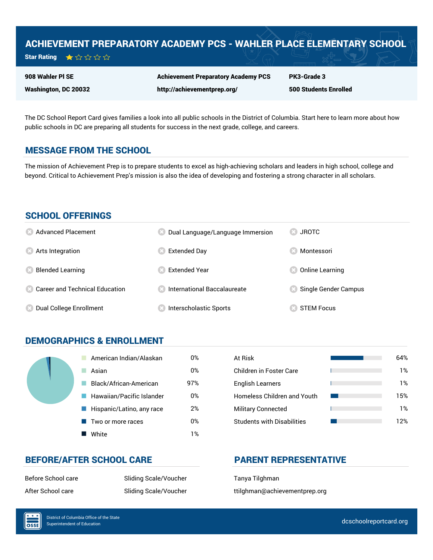# ACHIEVEMENT PREPARATORY ACADEMY PCS - WAHLER PLACE ELEMENTARY SCHOOL

| <b>Star Rating</b> | ★☆☆☆☆ |  |  |  |  |
|--------------------|-------|--|--|--|--|
|--------------------|-------|--|--|--|--|

908 Wahler Pl SE

Washington, DC 20032

Achievement Preparatory Academy PCS http://achievementprep.org/

PK3-Grade 3 500 Students Enrolled

The DC School Report Card gives families a look into all public schools in the District of Columbia. Start here to learn more about how public schools in DC are preparing all students for success in the next grade, college, and careers.

# MESSAGE FROM THE SCHOOL

The mission of Achievement Prep is to prepare students to excel as high-achieving scholars and leaders in high school, college and beyond. Critical to Achievement Prep's mission is also the idea of developing and fostering a strong character in all scholars.

## SCHOOL OFFERINGS

| <b>8</b> Advanced Placement             | Dual Language/Language Immersion     | <b>83 JROTC</b>        |
|-----------------------------------------|--------------------------------------|------------------------|
| <b>8</b> Arts Integration               | <b>Extended Day</b>                  | Montessori             |
| <b>Blended Learning</b><br>Œ            | <b>Extended Year</b>                 | <b>Online Learning</b> |
| <b>8</b> Career and Technical Education | <b>8</b> International Baccalaureate | Single Gender Campus   |
| <b>8</b> Dual College Enrollment        | Interscholastic Sports               | <b>STEM Focus</b>      |

# DEMOGRAPHICS & ENROLLMENT

| American Indian/Alaskan   | 0%  | At Risk                            |
|---------------------------|-----|------------------------------------|
| Asian                     | 0%  | Children in Foster Care            |
| Black/African-American    | 97% | <b>English Learners</b>            |
| Hawaiian/Pacific Islander | 0%  | <b>Homeless Children and Youth</b> |
| Hispanic/Latino, any race | 2%  | <b>Military Connected</b>          |
| Two or more races         | 0%  | <b>Students with Disabilities</b>  |
| White                     | 1%  |                                    |

| At Risk                           | 64% |
|-----------------------------------|-----|
| Children in Foster Care           | 1%  |
| <b>English Learners</b>           | 1%  |
| Homeless Children and Youth       | 15% |
| <b>Military Connected</b>         | 1%  |
| <b>Students with Disabilities</b> | 12% |

# BEFORE/AFTER SCHOOL CARE PARENT REPRESENTATIVE

Before School care Tanya Tilghman

After School care The Sliding Scale/Voucher The Stiding Scale/Voucher ttilghman@achievementprep.org